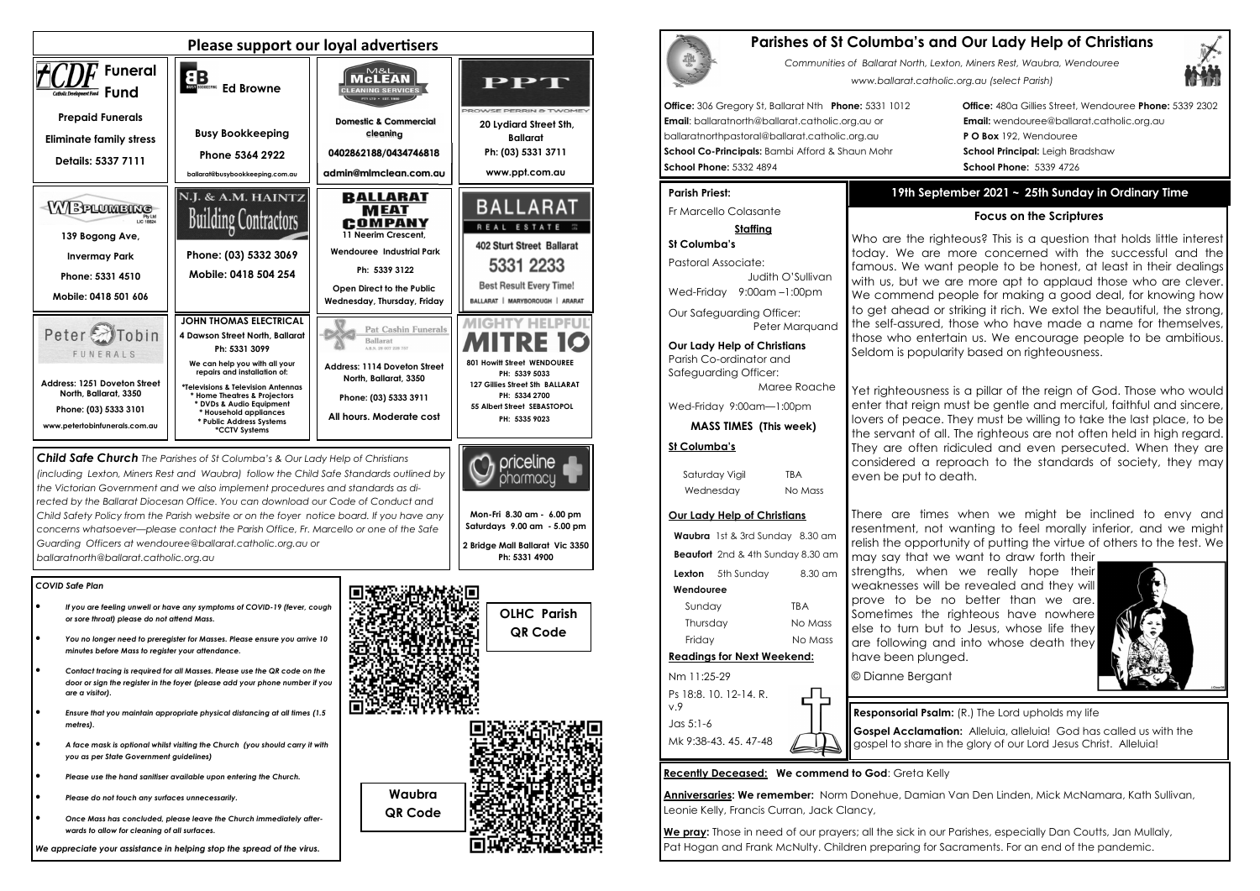#### *COVID Safe Plan*

- *If you are feeling unwell or have any symptoms of COVID-19 (fever, cough or sore throat) please do not attend Mass.*
- *You no longer need to preregister for Masses. Please ensure you arrive 10 minutes before Mass to register your attendance.*
- *Contact tracing is required for all Masses. Please use the QR code on the door or sign the register in the foyer (please add your phone number if you are a visitor).*
- *Ensure that you maintain appropriate physical distancing at all times (1.5 metres).*
- *A face mask is optional whilst visiting the Church (you should carry it with you as per State Government guidelines)*
- *Please use the hand sanitiser available upon entering the Church.*
- *Please do not touch any surfaces unnecessarily.*
- *Once Mass has concluded, please leave the Church immediately afterwards to allow for cleaning of all surfaces.*

*We appreciate your assistance in helping stop the spread of the virus.*

| Please support our loyal advertisers                                                                                                                                                                                                                                         |                                                                                                                                                                                                                                                                                                                             |                                                                                                                                                                                                                            |                                                                                                                                                                                     |  |
|------------------------------------------------------------------------------------------------------------------------------------------------------------------------------------------------------------------------------------------------------------------------------|-----------------------------------------------------------------------------------------------------------------------------------------------------------------------------------------------------------------------------------------------------------------------------------------------------------------------------|----------------------------------------------------------------------------------------------------------------------------------------------------------------------------------------------------------------------------|-------------------------------------------------------------------------------------------------------------------------------------------------------------------------------------|--|
| <b>Funeral</b><br>Fund<br>Catholic Development Fund                                                                                                                                                                                                                          | EB<br><b>Ed Browne</b>                                                                                                                                                                                                                                                                                                      | M&L<br>McLEAN<br><b>CLEANING SERVICES</b>                                                                                                                                                                                  | PPT<br>PROWSE PERRIN & TWOMEY                                                                                                                                                       |  |
| <b>Prepaid Funerals</b><br><b>Eliminate family stress</b><br>Details: 5337 7111                                                                                                                                                                                              | <b>Busy Bookkeeping</b><br>Phone 5364 2922<br>ballarat@busybookkeeping.com.au                                                                                                                                                                                                                                               | <b>Domestic &amp; Commercial</b><br>cleaning<br>0402862188/0434746818<br>admin@mlmclean.com.au                                                                                                                             | 20 Lydiard Street Sth,<br><b>Ballarat</b><br>Ph: (03) 5331 3711<br>www.ppt.com.au                                                                                                   |  |
| WBPLUMBING<br>Pty Ltd<br><b>LIC 18824</b><br>139 Bogong Ave,<br><b>Invermay Park</b><br>Phone: 5331 4510                                                                                                                                                                     | N.J. & A.M. HAINTZ<br><b>Building Contractors</b><br>Phone: (03) 5332 3069<br>Mobile: 0418 504 254                                                                                                                                                                                                                          | <b>BALLARAT</b><br><b>MEAT</b><br>COMPANY<br>11 Neerim Crescent.<br>Wendouree Industrial Park<br>Ph: 5339 3122<br>Open Direct to the Public                                                                                | <b>BALLARAT</b><br>REAL ESTATE ##<br>402 Sturt Street Ballarat<br>5331 2233<br><b>Best Result Every Time!</b>                                                                       |  |
| Mobile: 0418 501 606<br>Peter <sub>2</sub><br>obin<br>FUNERALS<br><b>Address: 1251 Doveton Street</b><br>North, Ballarat, 3350<br>Phone: (03) 5333 3101<br>www.petertobinfunerals.com.au                                                                                     | <b>JOHN THOMAS ELECTRICAL</b><br>4 Dawson Street North, Ballarat<br>Ph: 5331 3099<br>We can help you with all your<br>repairs and installation of:<br>*Televisions & Television Antennas<br>* Home Theatres & Projectors<br>* DVDs & Audio Equipment<br>* Household appliances<br>* Public Address Systems<br>*CCTV Systems | Wednesday, Thursday, Friday<br><b>Pat Cashin Funerals</b><br><b>Ballarat</b><br>A.B.N. 28 007 228 757<br><b>Address: 1114 Doveton Street</b><br>North, Ballarat, 3350<br>Phone: (03) 5333 3911<br>All hours. Moderate cost | BALLARAT   MARYBOROUGH   ARARAT<br>801 Howitt Street WENDOUREE<br>PH: 5339 5033<br>127 Gillies Street Sth BALLARAT<br>PH: 5334 2700<br>55 Albert Street SEBASTOPOL<br>PH: 5335 9023 |  |
| <b>Child Safe Church</b> The Parishes of St Columba's & Our Lady Help of Christians<br>priceline<br>(including Lexton, Miners Rest and Waubra) follow the Child Safe Standards outlined by<br>the Victorian Government and we also implement procedures and standards as di- |                                                                                                                                                                                                                                                                                                                             |                                                                                                                                                                                                                            |                                                                                                                                                                                     |  |

*rected by the Ballarat Diocesan Office. You can download our Code of Conduct and Child Safety Policy from the Parish website or on the foyer notice board. If you have any concerns whatsoever—please contact the Parish Office, Fr. Marcello or one of the Safe Guarding Officers at wendouree@ballarat.catholic.org.au or ballaratnorth@ballarat.catholic.org.au* 

**Office: 480a Gillies Street, Wendouree Phone: 5339 2302 Email:** wendouree@ballarat.catholic.org.au **PO Box 192, Wendouree School Principal:** Leigh Bradshaw **School Phone:** 5332 4894 **School Phone:** 5339 4726

**Mon-Fri 8.30 am - 6.00 pm Saturdays 9.00 am - 5.00 pm 2 Bridge Mall Ballarat Vic 3350** 

> We pray: Those in need of our prayers; all the sick in our Parishes, especially Dan Coutts, Jan Mullaly, Pat Hogan and Frank McNulty. Children preparing for Sacraments. For an end of the pandemic.



*Communities of Ballarat North, Lexton, Miners Rest, Waubra, Wendouree www.ballarat.catholic.org.au (select Parish)* 



|                                                                                                                                                                                                                                                  | <b>Parishes of St Columba's and</b><br>Communities of Ballarat North, Lexton<br>www.ballarat.catholic.c |
|--------------------------------------------------------------------------------------------------------------------------------------------------------------------------------------------------------------------------------------------------|---------------------------------------------------------------------------------------------------------|
| Office: 306 Gregory St, Ballarat Nth Phone: 5331 1012<br>Email: ballaratnorth@ballarat.catholic.org.au or<br>ballaratnorthpastoral@ballarat.catholic.org.au<br>School Co-Principals: Bambi Afford & Shaun Mohr<br><b>School Phone: 5332 4894</b> |                                                                                                         |
| <b>Parish Priest:</b>                                                                                                                                                                                                                            | 19th Septem                                                                                             |
| Fr Marcello Colasante                                                                                                                                                                                                                            |                                                                                                         |
| <b>Staffing</b>                                                                                                                                                                                                                                  |                                                                                                         |
| St Columba's                                                                                                                                                                                                                                     | Who are the righte<br>today. We are m                                                                   |
| Pastoral Associate:<br>Judith O'Sullivan<br>Wed-Friday 9:00am-1:00pm                                                                                                                                                                             | famous. We want<br>with us, but we are<br>We commend pec<br>to get ahead or str                         |
| Our Safeguarding Officer:<br>Peter Marquand                                                                                                                                                                                                      | the self-assured, th                                                                                    |
| <b>Our Lady Help of Christians</b><br>Parish Co-ordinator and<br>Safeguarding Officer:<br>Maree Roache                                                                                                                                           | those who entertai<br>Seldom is popularit<br>Vot riahtaauspees is                                       |

Wed-Friday 9:00am—1:00pm

**MASS TIMES (This week)**

#### **St Columba's**

Saturday Vigil TBA Wednesday No Mass

#### **Our Lady Help of Christians**

**Waubra** 1st & 3rd Sunday 8.30 am **Beaufort** 2nd & 4th Sunday 8.30 am **Lexton** 5th Sunday 8.30 am  **Wendouree**Sunday TBA Thursday No Mass Friday No Mass **Readings for Next Weekend:** Nm 11:25-29

Ps 18:8. 10. 12-14. R. v.9 Jas 5:1-6 Mk 9:38-43. 45. 47-48

**Recently Deceased: We commend to God**: Greta Kelly

൧

**Anniversaries: We remember:** Norm Donehue, Damian Van Den Linden, Mick McNamara, Kath Sullivan, Leonie Kelly, Francis Curran, Jack Clancy,

# **19th September 2021 ~ 25th Sunday in Ordinary Time**

#### **Focus on the Scriptures**

eous? This is a question that holds little interest today. We are more concerned with the successful and the people to be honest, at least in their dealings e more apt to applaud those who are clever. We commend people for making a good deal, for knowing how to get ahead or striking it rich. We extol the beautiful, the strong, the self-assured, those who have made a name for themselves, in us. We encourage people to be ambitious. ty based on righteousness.

Yet righteousness is a pillar of the reign of God. Those who would enter that reign must be gentle and merciful, faithful and sincere, lovers of peace. They must be willing to take the last place, to be the servant of all. The righteous are not often held in high regard. They are often ridiculed and even persecuted. When they are considered a reproach to the standards of society, they may

even be put to death.

There are times when we might be inclined to envy and resentment, not wanting to feel morally inferior, and we might relish the opportunity of putting the virtue of others to the test. We



may say that we want to draw forth their strengths, when we really hope their weaknesses will be revealed and they will prove to be no better than we are. Sometimes the righteous have nowhere else to turn but to Jesus, whose life they are following and into whose death they have been plunged.

# **Parishment Cover Lady Help of Christians**

© Dianne Bergant

**Responsorial Psalm:** (R.) The Lord upholds my life **Gospel Acclamation:** Alleluia, alleluia! God has called us with the gospel to share in the glory of our Lord Jesus Christ. Alleluia!